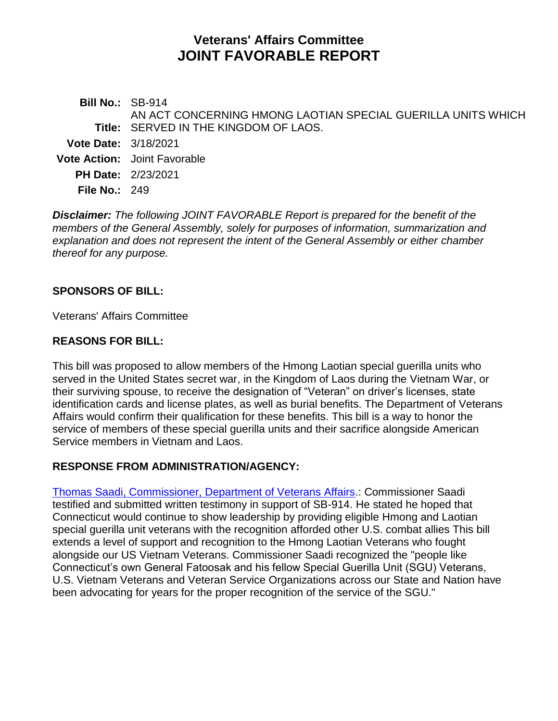# **Veterans' Affairs Committee JOINT FAVORABLE REPORT**

**Bill No.:** SB-914 **Title:** SERVED IN THE KINGDOM OF LAOS. AN ACT CONCERNING HMONG LAOTIAN SPECIAL GUERILLA UNITS WHICH **Vote Date:** 3/18/2021 **Vote Action:** Joint Favorable **PH Date:** 2/23/2021 **File No.:** 249

*Disclaimer: The following JOINT FAVORABLE Report is prepared for the benefit of the members of the General Assembly, solely for purposes of information, summarization and explanation and does not represent the intent of the General Assembly or either chamber thereof for any purpose.*

### **SPONSORS OF BILL:**

Veterans' Affairs Committee

#### **REASONS FOR BILL:**

This bill was proposed to allow members of the Hmong Laotian special guerilla units who served in the United States secret war, in the Kingdom of Laos during the Vietnam War, or their surviving spouse, to receive the designation of "Veteran" on driver's licenses, state identification cards and license plates, as well as burial benefits. The Department of Veterans Affairs would confirm their qualification for these benefits. This bill is a way to honor the service of members of these special guerilla units and their sacrifice alongside American Service members in Vietnam and Laos.

#### **RESPONSE FROM ADMINISTRATION/AGENCY:**

[Thomas Saadi, Commissioner, Department of Veterans Affairs.](https://www.cga.ct.gov/2021/VAdata/Tmy/2021SB-00914-R000223-Saadi,%20Thomas%20J.,%20Commissioner-Department%20of%20Veterans%20Affairs-Mixed-TMY.PDF): Commissioner Saadi testified and submitted written testimony in support of SB-914. He stated he hoped that Connecticut would continue to show leadership by providing eligible Hmong and Laotian special guerilla unit veterans with the recognition afforded other U.S. combat allies This bill extends a level of support and recognition to the Hmong Laotian Veterans who fought alongside our US Vietnam Veterans. Commissioner Saadi recognized the "people like Connecticut's own General Fatoosak and his fellow Special Guerilla Unit (SGU) Veterans, U.S. Vietnam Veterans and Veteran Service Organizations across our State and Nation have been advocating for years for the proper recognition of the service of the SGU."